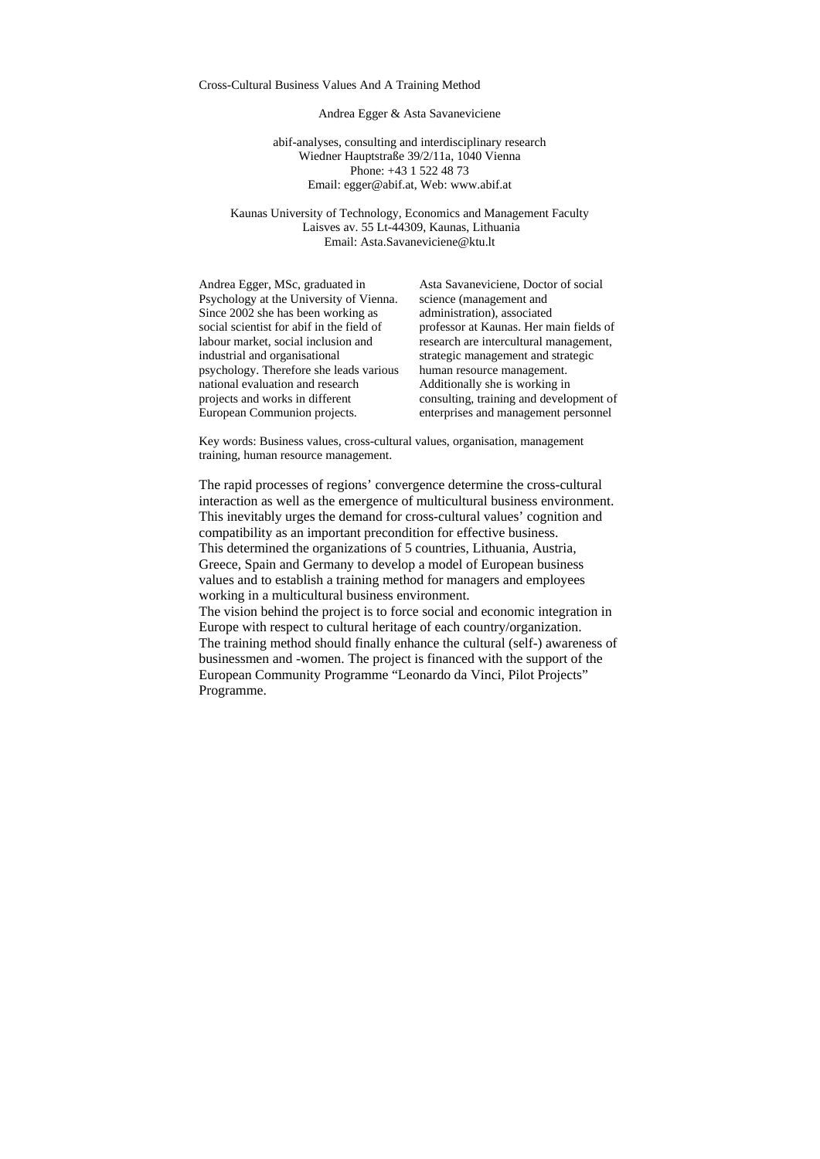#### Cross-Cultural Business Values And A Training Method

#### Andrea Egger & Asta Savaneviciene

abif-analyses, consulting and interdisciplinary research Wiedner Hauptstraße 39/2/11a, 1040 Vienna Phone: +43 1 522 48 73 Email: egger@abif.at, Web: www.abif.at

Kaunas University of Technology, Economics and Management Faculty Laisves av. 55 Lt-44309, Kaunas, Lithuania Email: Asta.Savaneviciene@ktu.lt

Andrea Egger, MSc, graduated in Psychology at the University of Vienna. Since 2002 she has been working as social scientist for abif in the field of labour market, social inclusion and industrial and organisational psychology. Therefore she leads various national evaluation and research projects and works in different European Communion projects.

Asta Savaneviciene, Doctor of social science (management and administration), associated professor at Kaunas. Her main fields of research are intercultural management, strategic management and strategic human resource management. Additionally she is working in consulting, training and development of enterprises and management personnel

Key words: Business values, cross-cultural values, organisation, management training, human resource management.

The rapid processes of regions' convergence determine the cross-cultural interaction as well as the emergence of multicultural business environment. This inevitably urges the demand for cross-cultural values' cognition and compatibility as an important precondition for effective business. This determined the organizations of 5 countries, Lithuania, Austria, Greece, Spain and Germany to develop a model of European business values and to establish a training method for managers and employees working in a multicultural business environment.

The vision behind the project is to force social and economic integration in Europe with respect to cultural heritage of each country/organization. The training method should finally enhance the cultural (self-) awareness of businessmen and -women. The project is financed with the support of the European Community Programme "Leonardo da Vinci, Pilot Projects" Programme.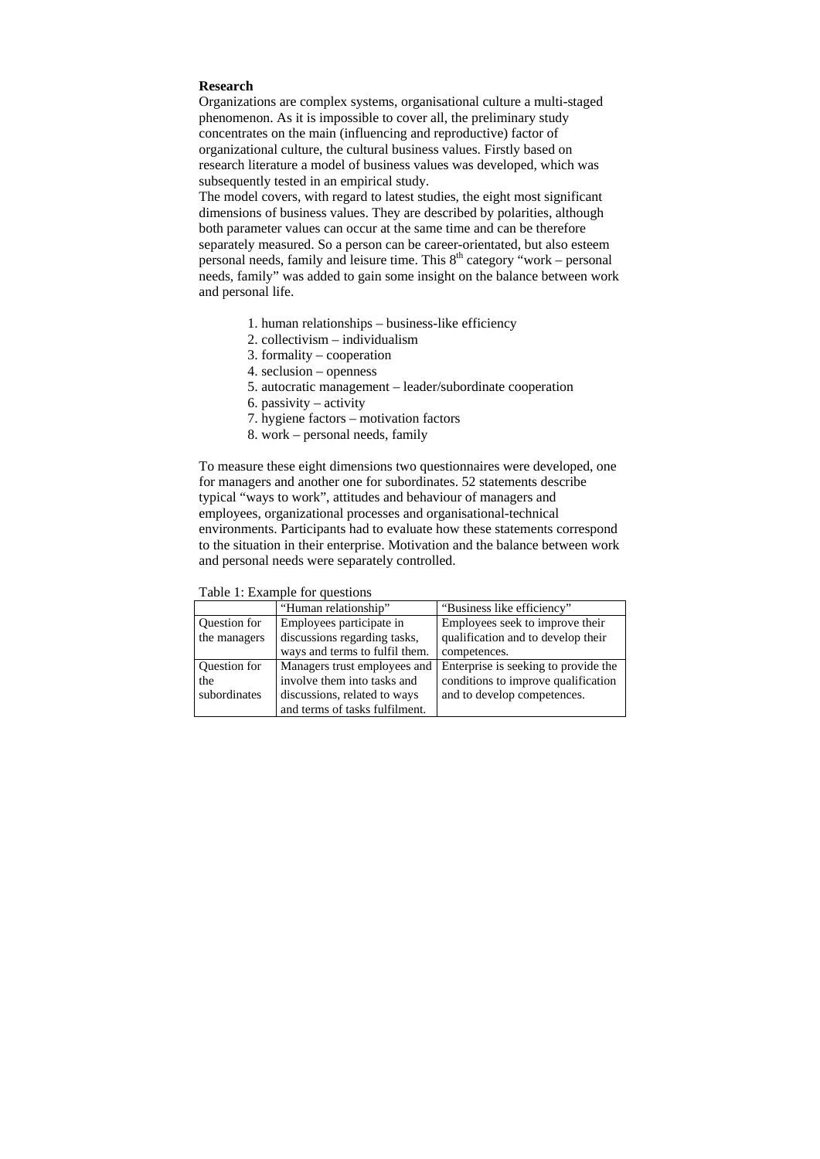# **Research**

Organizations are complex systems, organisational culture a multi-staged phenomenon. As it is impossible to cover all, the preliminary study concentrates on the main (influencing and reproductive) factor of organizational culture, the cultural business values. Firstly based on research literature a model of business values was developed, which was subsequently tested in an empirical study.

The model covers, with regard to latest studies, the eight most significant dimensions of business values. They are described by polarities, although both parameter values can occur at the same time and can be therefore separately measured. So a person can be career-orientated, but also esteem personal needs, family and leisure time. This  $8<sup>th</sup>$  category "work – personal needs, family" was added to gain some insight on the balance between work and personal life.

- 1. human relationships business-like efficiency
- 2. collectivism individualism
- 3. formality cooperation
- 4. seclusion openness
- 5. autocratic management leader/subordinate cooperation
- 6. passivity activity
- 7. hygiene factors motivation factors
- 8. work personal needs, family

To measure these eight dimensions two questionnaires were developed, one for managers and another one for subordinates. 52 statements describe typical "ways to work", attitudes and behaviour of managers and employees, organizational processes and organisational-technical environments. Participants had to evaluate how these statements correspond to the situation in their enterprise. Motivation and the balance between work and personal needs were separately controlled.

|                     | "Human relationship"           | "Business like efficiency"           |
|---------------------|--------------------------------|--------------------------------------|
| Question for        | Employees participate in       | Employees seek to improve their      |
| the managers        | discussions regarding tasks,   | qualification and to develop their   |
|                     | ways and terms to fulfil them. | competences.                         |
| <b>Ouestion</b> for | Managers trust employees and   | Enterprise is seeking to provide the |
| the                 | involve them into tasks and    | conditions to improve qualification  |
| subordinates        | discussions, related to ways   | and to develop competences.          |
|                     | and terms of tasks fulfilment. |                                      |

### Table 1: Example for questions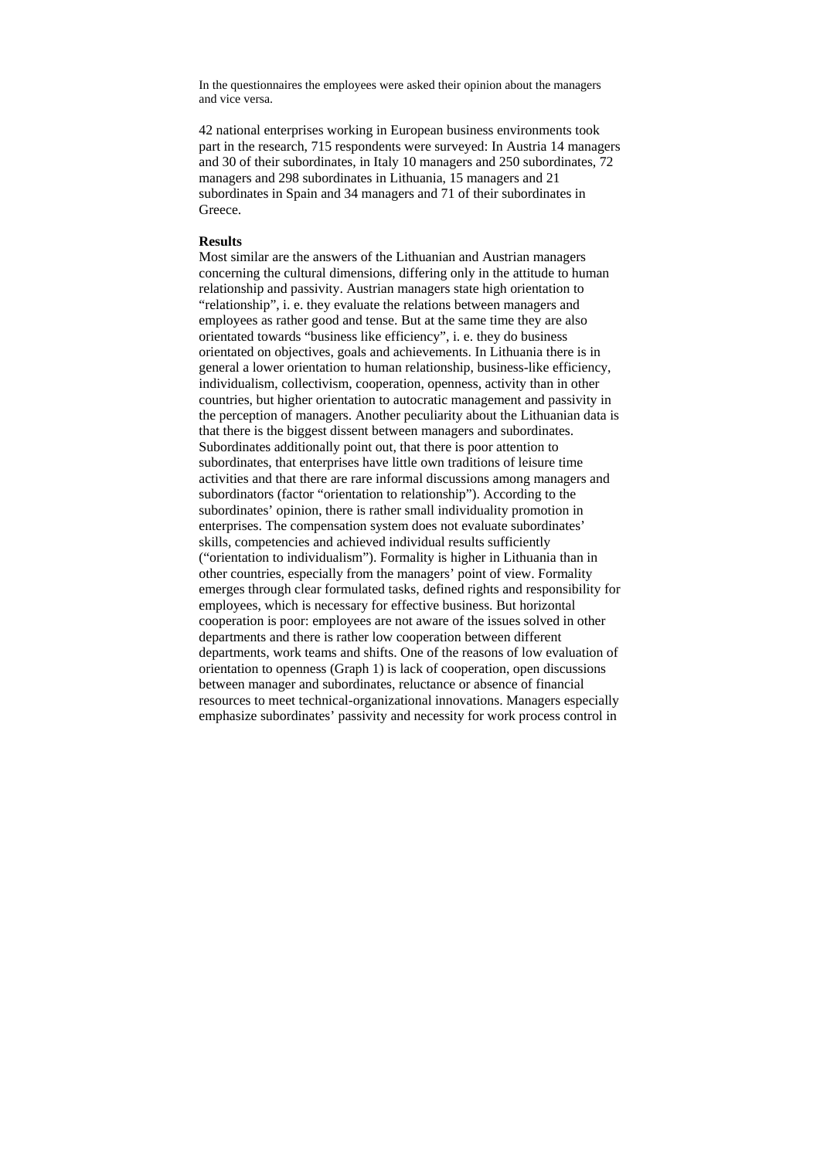In the questionnaires the employees were asked their opinion about the managers and vice versa.

42 national enterprises working in European business environments took part in the research, 715 respondents were surveyed: In Austria 14 managers and 30 of their subordinates, in Italy 10 managers and 250 subordinates, 72 managers and 298 subordinates in Lithuania, 15 managers and 21 subordinates in Spain and 34 managers and 71 of their subordinates in Greece.

## **Results**

Most similar are the answers of the Lithuanian and Austrian managers concerning the cultural dimensions, differing only in the attitude to human relationship and passivity. Austrian managers state high orientation to "relationship", i. e. they evaluate the relations between managers and employees as rather good and tense. But at the same time they are also orientated towards "business like efficiency", i. e. they do business orientated on objectives, goals and achievements. In Lithuania there is in general a lower orientation to human relationship, business-like efficiency, individualism, collectivism, cooperation, openness, activity than in other countries, but higher orientation to autocratic management and passivity in the perception of managers. Another peculiarity about the Lithuanian data is that there is the biggest dissent between managers and subordinates. Subordinates additionally point out, that there is poor attention to subordinates, that enterprises have little own traditions of leisure time activities and that there are rare informal discussions among managers and subordinators (factor "orientation to relationship"). According to the subordinates' opinion, there is rather small individuality promotion in enterprises. The compensation system does not evaluate subordinates' skills, competencies and achieved individual results sufficiently ("orientation to individualism"). Formality is higher in Lithuania than in other countries, especially from the managers' point of view. Formality emerges through clear formulated tasks, defined rights and responsibility for employees, which is necessary for effective business. But horizontal cooperation is poor: employees are not aware of the issues solved in other departments and there is rather low cooperation between different departments, work teams and shifts. One of the reasons of low evaluation of orientation to openness (Graph 1) is lack of cooperation, open discussions between manager and subordinates, reluctance or absence of financial resources to meet technical-organizational innovations. Managers especially emphasize subordinates' passivity and necessity for work process control in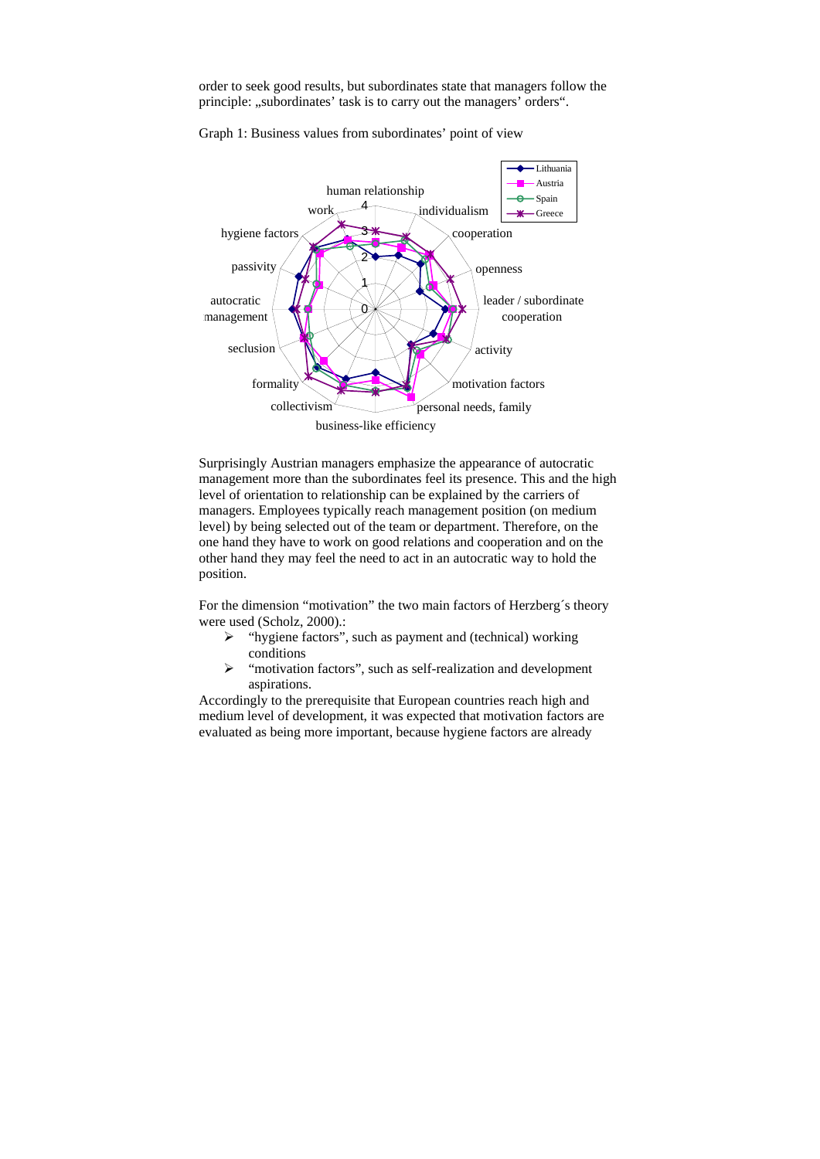order to seek good results, but subordinates state that managers follow the principle: "subordinates' task is to carry out the managers' orders".



Graph 1: Business values from subordinates' point of view

Surprisingly Austrian managers emphasize the appearance of autocratic management more than the subordinates feel its presence. This and the high level of orientation to relationship can be explained by the carriers of managers. Employees typically reach management position (on medium level) by being selected out of the team or department. Therefore, on the one hand they have to work on good relations and cooperation and on the other hand they may feel the need to act in an autocratic way to hold the position.

For the dimension "motivation" the two main factors of Herzberg´s theory were used (Scholz, 2000).:

- $\triangleright$  "hygiene factors", such as payment and (technical) working conditions
- ¾ "motivation factors", such as self-realization and development aspirations.

Accordingly to the prerequisite that European countries reach high and medium level of development, it was expected that motivation factors are evaluated as being more important, because hygiene factors are already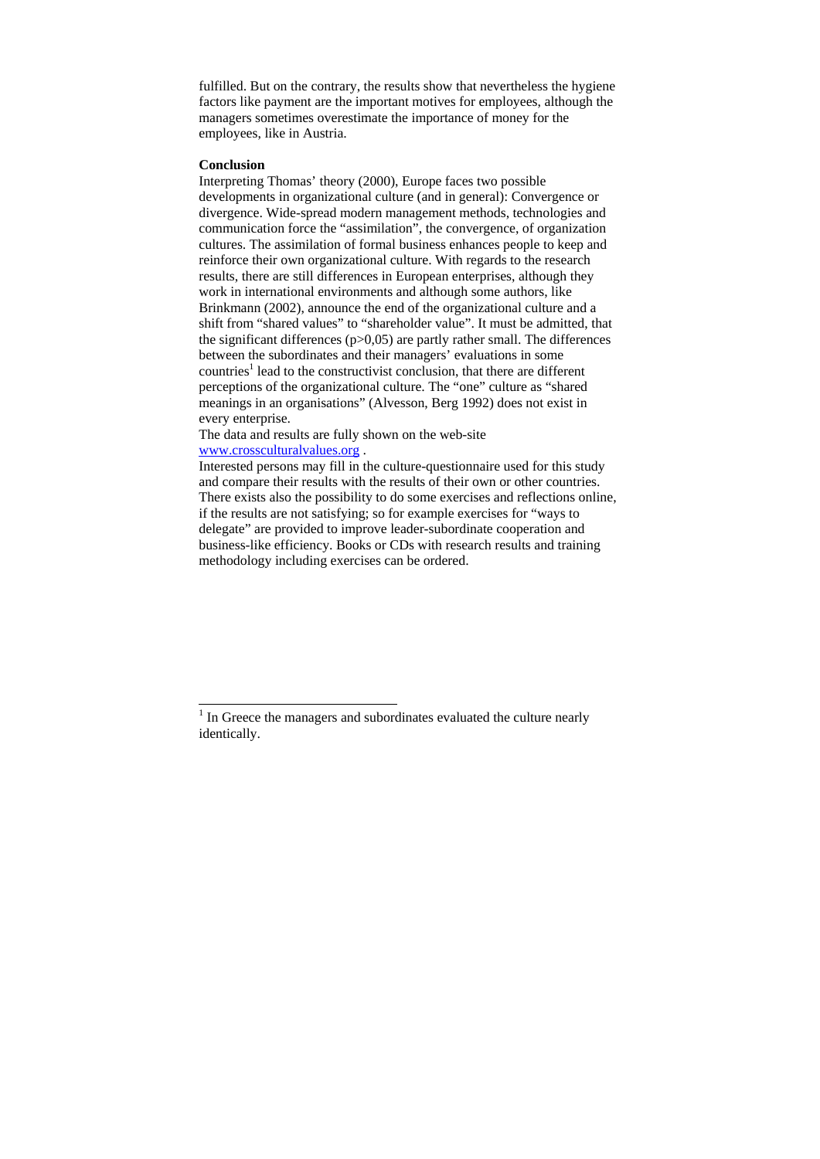fulfilled. But on the contrary, the results show that nevertheless the hygiene factors like payment are the important motives for employees, although the managers sometimes overestimate the importance of money for the employees, like in Austria.

#### **Conclusion**

1

Interpreting Thomas' theory (2000), Europe faces two possible developments in organizational culture (and in general): Convergence or divergence. Wide-spread modern management methods, technologies and communication force the "assimilation", the convergence, of organization cultures. The assimilation of formal business enhances people to keep and reinforce their own organizational culture. With regards to the research results, there are still differences in European enterprises, although they work in international environments and although some authors, like Brinkmann (2002), announce the end of the organizational culture and a shift from "shared values" to "shareholder value". It must be admitted, that the significant differences  $(p>0,05)$  are partly rather small. The differences between the subordinates and their managers' evaluations in some countries<sup>1</sup> lead to the constructivist conclusion, that there are different perceptions of the organizational culture. The "one" culture as "shared meanings in an organisations" (Alvesson, Berg 1992) does not exist in every enterprise.

The data and results are fully shown on the web-site www.crossculturalvalues.org .

Interested persons may fill in the culture-questionnaire used for this study and compare their results with the results of their own or other countries. There exists also the possibility to do some exercises and reflections online, if the results are not satisfying; so for example exercises for "ways to delegate" are provided to improve leader-subordinate cooperation and business-like efficiency. Books or CDs with research results and training methodology including exercises can be ordered.

<sup>&</sup>lt;sup>1</sup> In Greece the managers and subordinates evaluated the culture nearly identically.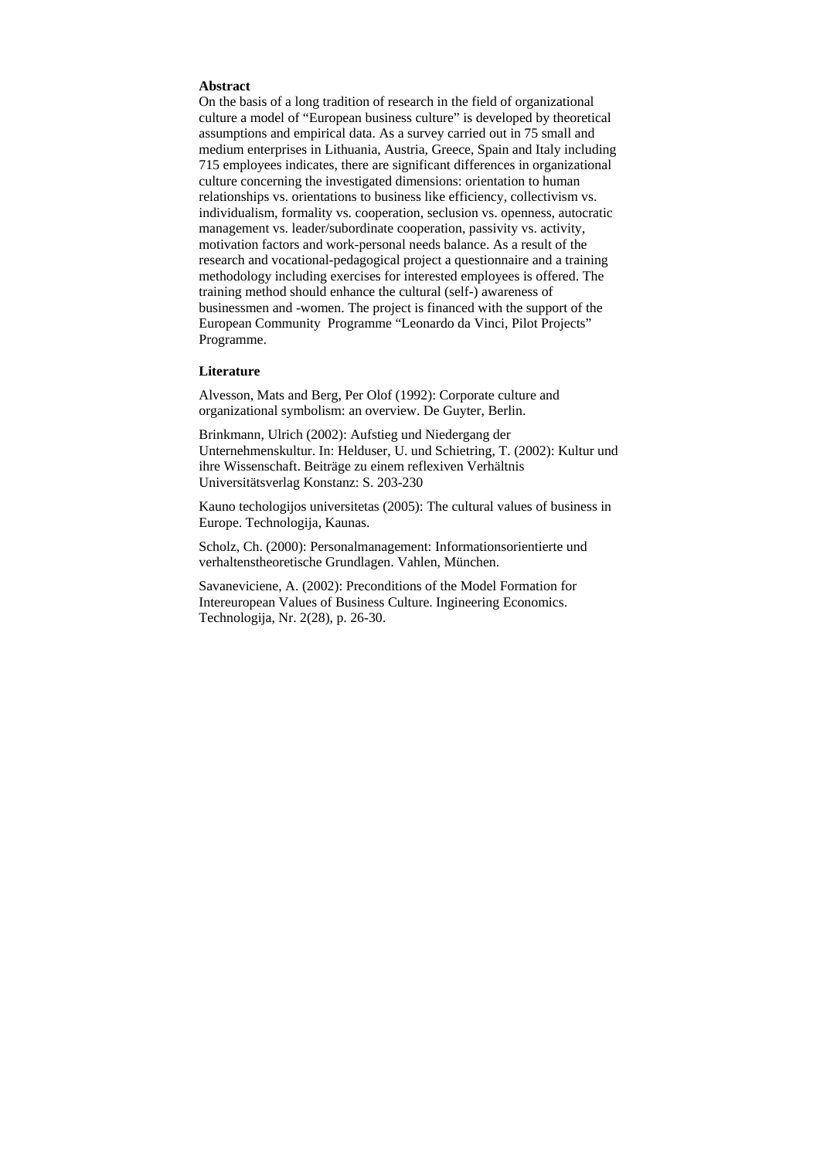# **Abstract**

On the basis of a long tradition of research in the field of organizational culture a model of "European business culture" is developed by theoretical assumptions and empirical data. As a survey carried out in 75 small and medium enterprises in Lithuania, Austria, Greece, Spain and Italy including 715 employees indicates, there are significant differences in organizational culture concerning the investigated dimensions: orientation to human relationships vs. orientations to business like efficiency, collectivism vs. individualism, formality vs. cooperation, seclusion vs. openness, autocratic management vs. leader/subordinate cooperation, passivity vs. activity, motivation factors and work-personal needs balance. As a result of the research and vocational-pedagogical project a questionnaire and a training methodology including exercises for interested employees is offered. The training method should enhance the cultural (self-) awareness of businessmen and -women. The project is financed with the support of the European Community Programme "Leonardo da Vinci, Pilot Projects" Programme.

## **Literature**

Alvesson, Mats and Berg, Per Olof (1992): Corporate culture and organizational symbolism: an overview. De Guyter, Berlin.

Brinkmann, Ulrich (2002): Aufstieg und Niedergang der Unternehmenskultur. In: Helduser, U. und Schietring, T. (2002): Kultur und ihre Wissenschaft. Beiträge zu einem reflexiven Verhältnis Universitätsverlag Konstanz: S. 203-230

Kauno techologijos universitetas (2005): The cultural values of business in Europe. Technologija, Kaunas.

Scholz, Ch. (2000): Personalmanagement: Informationsorientierte und verhaltenstheoretische Grundlagen. Vahlen, München.

Savaneviciene, A. (2002): Preconditions of the Model Formation for Intereuropean Values of Business Culture. Ingineering Economics. Technologija, Nr. 2(28), p. 26-30.